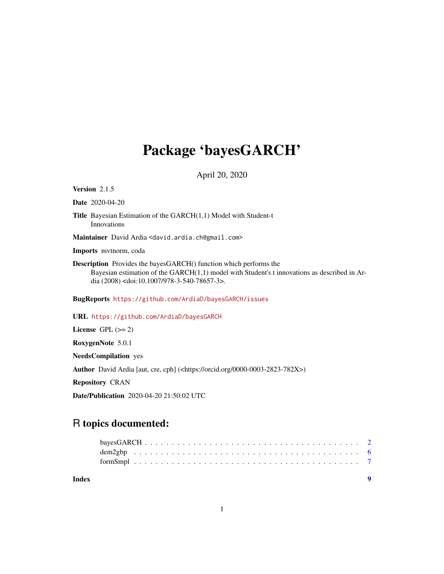## Package 'bayesGARCH'

April 20, 2020

<span id="page-0-0"></span>Version 2.1.5

Date 2020-04-20

Title Bayesian Estimation of the GARCH(1,1) Model with Student-t Innovations

Maintainer David Ardia <david.ardia.ch@gmail.com>

Imports mvtnorm, coda

Description Provides the bayesGARCH() function which performs the Bayesian estimation of the GARCH(1,1) model with Student's t innovations as described in Ardia (2008) <doi:10.1007/978-3-540-78657-3>.

BugReports <https://github.com/ArdiaD/bayesGARCH/issues>

URL <https://github.com/ArdiaD/bayesGARCH>

License GPL  $(>= 2)$ 

RoxygenNote 5.0.1

NeedsCompilation yes

Author David Ardia [aut, cre, cph] (<https://orcid.org/0000-0003-2823-782X>)

Repository CRAN

Date/Publication 2020-04-20 21:50:02 UTC

### R topics documented:

| Index |  |  |  |  |  |  |  |  |  |  |  |  |  |  |  |  |  |
|-------|--|--|--|--|--|--|--|--|--|--|--|--|--|--|--|--|--|
|       |  |  |  |  |  |  |  |  |  |  |  |  |  |  |  |  |  |
|       |  |  |  |  |  |  |  |  |  |  |  |  |  |  |  |  |  |
|       |  |  |  |  |  |  |  |  |  |  |  |  |  |  |  |  |  |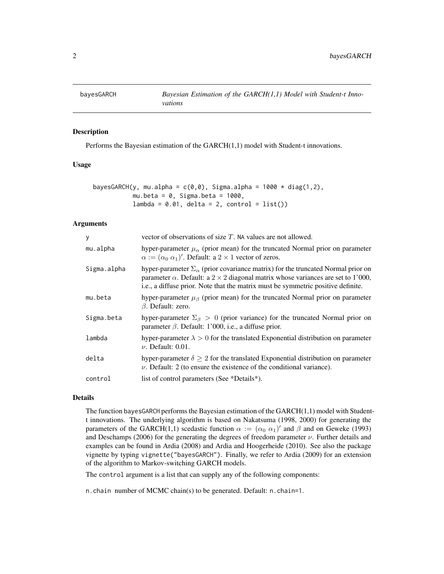<span id="page-1-1"></span><span id="page-1-0"></span>

#### Description

Performs the Bayesian estimation of the GARCH(1,1) model with Student-t innovations.

#### Usage

| bayesGARCH(y, mu.alpha = c(0,0), Sigma.alpha = 1000 $\star$ diag(1,2), |  |
|------------------------------------------------------------------------|--|
| mu.beta = 0, Sigma.beta = 1000,                                        |  |
| $lambda = 0.01$ , delta = 2, control = list())                         |  |

#### Arguments

| у           | vector of observations of size $T$ . NA values are not allowed.                                                                                                                                                                                                              |
|-------------|------------------------------------------------------------------------------------------------------------------------------------------------------------------------------------------------------------------------------------------------------------------------------|
| mu.alpha    | hyper-parameter $\mu_{\alpha}$ (prior mean) for the truncated Normal prior on parameter<br>$\alpha := (\alpha_0 \alpha_1)'$ . Default: a 2 × 1 vector of zeros.                                                                                                              |
| Sigma.alpha | hyper-parameter $\Sigma_{\alpha}$ (prior covariance matrix) for the truncated Normal prior on<br>parameter $\alpha$ . Default: a 2 × 2 diagonal matrix whose variances are set to 1'000,<br>i.e., a diffuse prior. Note that the matrix must be symmetric positive definite. |
| mu.beta     | hyper-parameter $\mu_{\beta}$ (prior mean) for the truncated Normal prior on parameter<br>$\beta$ . Default: zero.                                                                                                                                                           |
| Sigma.beta  | hyper-parameter $\Sigma_{\beta} > 0$ (prior variance) for the truncated Normal prior on<br>parameter $\beta$ . Default: 1'000, i.e., a diffuse prior.                                                                                                                        |
| lambda      | hyper-parameter $\lambda > 0$ for the translated Exponential distribution on parameter<br>$\nu$ . Default: 0.01.                                                                                                                                                             |
| delta       | hyper-parameter $\delta \geq 2$ for the translated Exponential distribution on parameter<br>$\nu$ . Default: 2 (to ensure the existence of the conditional variance).                                                                                                        |
| control     | list of control parameters (See *Details*).                                                                                                                                                                                                                                  |
|             |                                                                                                                                                                                                                                                                              |

#### Details

The function bayesGARCH performs the Bayesian estimation of the  $GARCH(1,1)$  model with Studentt innovations. The underlying algorithm is based on Nakatsuma (1998, 2000) for generating the parameters of the GARCH(1,1) scedastic function  $\alpha := (\alpha_0 \alpha_1)'$  and  $\beta$  and on Geweke (1993) and Deschamps (2006) for the generating the degrees of freedom parameter  $\nu$ . Further details and examples can be found in Ardia (2008) and Ardia and Hoogerheide (2010). See also the package vignette by typing vignette("bayesGARCH"). Finally, we refer to Ardia (2009) for an extension of the algorithm to Markov-switching GARCH models.

The control argument is a list that can supply any of the following components:

n.chain number of MCMC chain(s) to be generated. Default: n.chain=1.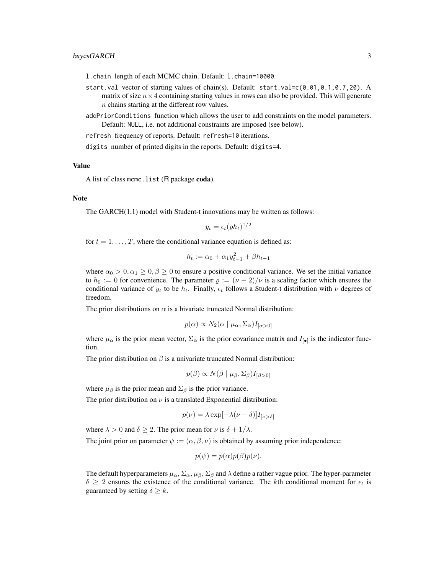#### bayesGARCH 3

l.chain length of each MCMC chain. Default: l.chain=10000.

- start.val vector of starting values of chain(s). Default: start.val=c(0.01,0.1,0.7,20). A matrix of size  $n \times 4$  containing starting values in rows can also be provided. This will generate n chains starting at the different row values.
- addPriorConditions function which allows the user to add constraints on the model parameters. Default: NULL, i.e. not additional constraints are imposed (see below).
- refresh frequency of reports. Default: refresh=10 iterations.

digits number of printed digits in the reports. Default: digits=4.

#### Value

A list of class mcmc. list (R package coda).

#### **Note**

The GARCH(1,1) model with Student-t innovations may be written as follows:

$$
y_t = \epsilon_t (\varrho h_t)^{1/2}
$$

for  $t = 1, \ldots, T$ , where the conditional variance equation is defined as:

$$
h_t := \alpha_0 + \alpha_1 y_{t-1}^2 + \beta h_{t-1}
$$

where  $\alpha_0 > 0, \alpha_1 \geq 0, \beta \geq 0$  to ensure a positive conditional variance. We set the initial variance to  $h_0 := 0$  for convenience. The parameter  $\varrho := (\nu - 2)/\nu$  is a scaling factor which ensures the conditional variance of  $y_t$  to be  $h_t$ . Finally,  $\epsilon_t$  follows a Student-t distribution with  $\nu$  degrees of freedom.

The prior distributions on  $\alpha$  is a bivariate truncated Normal distribution:

$$
p(\alpha) \propto N_2(\alpha \mid \mu_\alpha, \Sigma_\alpha) I_{\alpha > 0}
$$

where  $\mu_{\alpha}$  is the prior mean vector,  $\Sigma_{\alpha}$  is the prior covariance matrix and  $I_{\llbracket \bullet \rrbracket}$  is the indicator function.

The prior distribution on  $\beta$  is a univariate truncated Normal distribution:

$$
p(\beta) \propto N(\beta \mid \mu_{\beta}, \Sigma_{\beta}) I_{[\beta > 0]}
$$

where  $\mu_{\beta}$  is the prior mean and  $\Sigma_{\beta}$  is the prior variance.

The prior distribution on  $\nu$  is a translated Exponential distribution:

$$
p(\nu) = \lambda \exp[-\lambda(\nu - \delta)]I_{\nu > \delta]}
$$

where  $\lambda > 0$  and  $\delta \geq 2$ . The prior mean for  $\nu$  is  $\delta + 1/\lambda$ .

The joint prior on parameter  $\psi := (\alpha, \beta, \nu)$  is obtained by assuming prior independence:

$$
p(\psi) = p(\alpha)p(\beta)p(\nu).
$$

The default hyperparameters  $\mu_{\alpha}$ ,  $\Sigma_{\alpha}$ ,  $\mu_{\beta}$ ,  $\Sigma_{\beta}$  and  $\lambda$  define a rather vague prior. The hyper-parameter  $\delta \geq 2$  ensures the existence of the conditional variance. The kth conditional moment for  $\epsilon_t$  is guaranteed by setting  $\delta \geq k$ .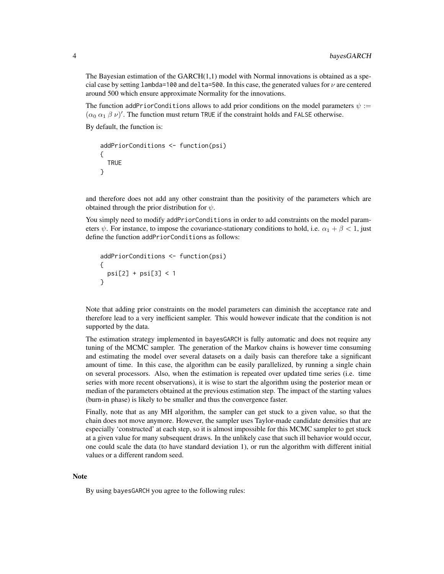The Bayesian estimation of the  $GARCH(1,1)$  model with Normal innovations is obtained as a special case by setting lambda=100 and delta=500. In this case, the generated values for  $\nu$  are centered around 500 which ensure approximate Normality for the innovations.

The function addPriorConditions allows to add prior conditions on the model parameters  $\psi$  :=  $(\alpha_0 \alpha_1 \beta \nu)'$ . The function must return TRUE if the constraint holds and FALSE otherwise.

By default, the function is:

```
addPriorConditions <- function(psi)
{
 TRUE
}
```
and therefore does not add any other constraint than the positivity of the parameters which are obtained through the prior distribution for  $\psi$ .

You simply need to modify addPriorConditions in order to add constraints on the model parameters  $\psi$ . For instance, to impose the covariance-stationary conditions to hold, i.e.  $\alpha_1 + \beta < 1$ , just define the function addPriorConditions as follows:

```
addPriorConditions <- function(psi)
{
  psi[2] + psi[3] < 1
}
```
Note that adding prior constraints on the model parameters can diminish the acceptance rate and therefore lead to a very inefficient sampler. This would however indicate that the condition is not supported by the data.

The estimation strategy implemented in bayesGARCH is fully automatic and does not require any tuning of the MCMC sampler. The generation of the Markov chains is however time consuming and estimating the model over several datasets on a daily basis can therefore take a significant amount of time. In this case, the algorithm can be easily parallelized, by running a single chain on several processors. Also, when the estimation is repeated over updated time series (i.e. time series with more recent observations), it is wise to start the algorithm using the posterior mean or median of the parameters obtained at the previous estimation step. The impact of the starting values (burn-in phase) is likely to be smaller and thus the convergence faster.

Finally, note that as any MH algorithm, the sampler can get stuck to a given value, so that the chain does not move anymore. However, the sampler uses Taylor-made candidate densities that are especially 'constructed' at each step, so it is almost impossible for this MCMC sampler to get stuck at a given value for many subsequent draws. In the unlikely case that such ill behavior would occur, one could scale the data (to have standard deviation 1), or run the algorithm with different initial values or a different random seed.

#### **Note**

By using bayesGARCH you agree to the following rules: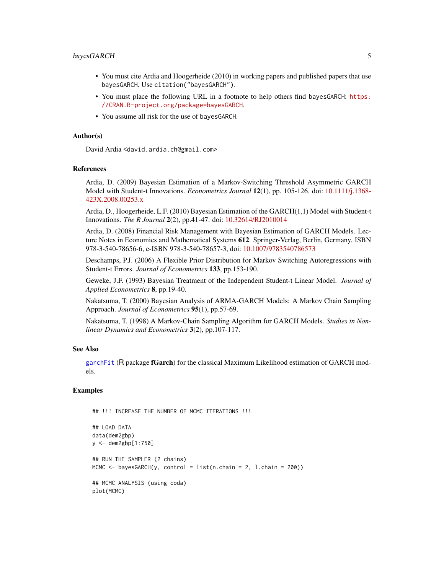#### <span id="page-4-0"></span>bayesGARCH 5

- You must cite Ardia and Hoogerheide (2010) in working papers and published papers that use bayesGARCH. Use citation("bayesGARCH").
- You must place the following URL in a footnote to help others find bayesGARCH: [https:](https://CRAN.R-project.org/package=bayesGARCH) [//CRAN.R-project.org/package=bayesGARCH](https://CRAN.R-project.org/package=bayesGARCH).
- You assume all risk for the use of bayesGARCH.

#### Author(s)

David Ardia <david.ardia.ch@gmail.com>

#### References

Ardia, D. (2009) Bayesian Estimation of a Markov-Switching Threshold Asymmetric GARCH Model with Student-t Innovations. *Econometrics Journal* 12(1), pp. 105-126. doi: [10.1111/j.1368-](https://doi.org/10.1111/j.1368-423X.2008.00253.x) [423X.2008.00253.x](https://doi.org/10.1111/j.1368-423X.2008.00253.x)

Ardia, D., Hoogerheide, L.F. (2010) Bayesian Estimation of the GARCH(1,1) Model with Student-t Innovations. *The R Journal* 2(2), pp.41-47. doi: [10.32614/RJ2010014](https://doi.org/10.32614/RJ-2010-014)

Ardia, D. (2008) Financial Risk Management with Bayesian Estimation of GARCH Models. Lecture Notes in Economics and Mathematical Systems 612. Springer-Verlag, Berlin, Germany. ISBN 978-3-540-78656-6, e-ISBN 978-3-540-78657-3, doi: [10.1007/9783540786573](https://doi.org/10.1007/978-3-540-78657-3)

Deschamps, P.J. (2006) A Flexible Prior Distribution for Markov Switching Autoregressions with Student-t Errors. *Journal of Econometrics* 133, pp.153-190.

Geweke, J.F. (1993) Bayesian Treatment of the Independent Student-t Linear Model. *Journal of Applied Econometrics* 8, pp.19-40.

Nakatsuma, T. (2000) Bayesian Analysis of ARMA-GARCH Models: A Markov Chain Sampling Approach. *Journal of Econometrics* 95(1), pp.57-69.

Nakatsuma, T. (1998) A Markov-Chain Sampling Algorithm for GARCH Models. *Studies in Nonlinear Dynamics and Econometrics* 3(2), pp.107-117.

#### See Also

[garchFit](#page-0-0) (R package fGarch) for the classical Maximum Likelihood estimation of GARCH models.

#### Examples

```
## !!! INCREASE THE NUMBER OF MCMC ITERATIONS !!!
## LOAD DATA
data(dem2gbp)
y <- dem2gbp[1:750]
## RUN THE SAMPLER (2 chains)
MCMC \leq bayesGARCH(y, control = list(n.chain = 2, l.chain = 200))
## MCMC ANALYSIS (using coda)
plot(MCMC)
```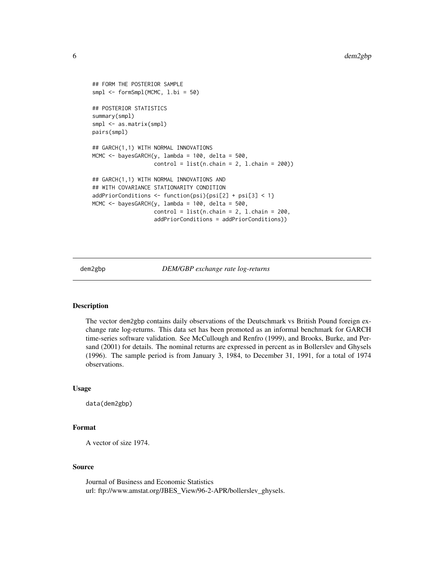```
## FORM THE POSTERIOR SAMPLE
smpl <- formSmpl(MCMC, l.bi = 50)
## POSTERIOR STATISTICS
summary(smpl)
smpl <- as.matrix(smpl)
pairs(smpl)
## GARCH(1,1) WITH NORMAL INNOVATIONS
MCMC <- bayesGARCH(y, lambda = 100, delta = 500,
                   control = list(n-chain = 2, 1-chain = 200)## GARCH(1,1) WITH NORMAL INNOVATIONS AND
## WITH COVARIANCE STATIONARITY CONDITION
addPriorConditions <- function(psi){psi[2] + psi[3] < 1}
MCMC <- bayesGARCH(y, lambda = 100, delta = 500,
                   control = list(n-chain = 2, 1-chain = 200,addPriorConditions = addPriorConditions))
```
dem2gbp *DEM/GBP exchange rate log-returns*

#### Description

The vector dem2gbp contains daily observations of the Deutschmark vs British Pound foreign exchange rate log-returns. This data set has been promoted as an informal benchmark for GARCH time-series software validation. See McCullough and Renfro (1999), and Brooks, Burke, and Persand (2001) for details. The nominal returns are expressed in percent as in Bollerslev and Ghysels (1996). The sample period is from January 3, 1984, to December 31, 1991, for a total of 1974 observations.

#### Usage

data(dem2gbp)

#### Format

A vector of size 1974.

#### Source

Journal of Business and Economic Statistics url: ftp://www.amstat.org/JBES\_View/96-2-APR/bollerslev\_ghysels.

<span id="page-5-0"></span>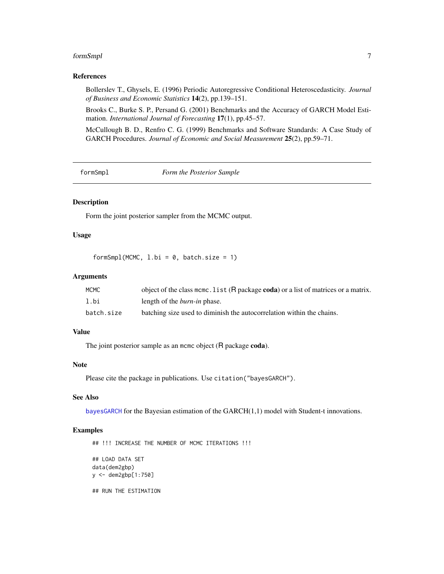#### <span id="page-6-0"></span>formSmpl 7

#### References

Bollerslev T., Ghysels, E. (1996) Periodic Autoregressive Conditional Heteroscedasticity. *Journal of Business and Economic Statistics* 14(2), pp.139–151.

Brooks C., Burke S. P., Persand G. (2001) Benchmarks and the Accuracy of GARCH Model Estimation. *International Journal of Forecasting* 17(1), pp.45–57.

McCullough B. D., Renfro C. G. (1999) Benchmarks and Software Standards: A Case Study of GARCH Procedures. *Journal of Economic and Social Measurement* 25(2), pp.59–71.

formSmpl *Form the Posterior Sample*

#### Description

Form the joint posterior sampler from the MCMC output.

#### Usage

formSmpl(MCMC,  $l.bi = 0$ , batch.size = 1)

#### Arguments

| <b>MCMC</b> | object of the class mcmc. list (R package coda) or a list of matrices or a matrix. |
|-------------|------------------------------------------------------------------------------------|
| l.bi        | length of the <i>burn-in</i> phase.                                                |
| batch.size  | batching size used to diminish the autocorrelation within the chains.              |

#### Value

The joint posterior sample as an mcmc object (R package coda).

#### Note

Please cite the package in publications. Use citation ("bayesGARCH").

#### See Also

[bayesGARCH](#page-1-1) for the Bayesian estimation of the GARCH(1,1) model with Student-t innovations.

#### Examples

## !!! INCREASE THE NUMBER OF MCMC ITERATIONS !!! ## LOAD DATA SET data(dem2gbp) y <- dem2gbp[1:750] ## RUN THE ESTIMATION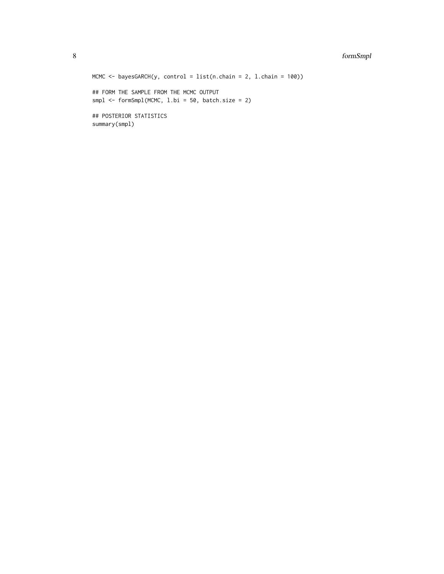#### 8 formSmpl

```
MCMC <- bayesGARCH(y, control = list(n.chain = 2, l.chain = 100))
## FORM THE SAMPLE FROM THE MCMC OUTPUT
smpl <- formSmpl(MCMC, l.bi = 50, batch.size = 2)
## POSTERIOR STATISTICS
summary(smpl)
```